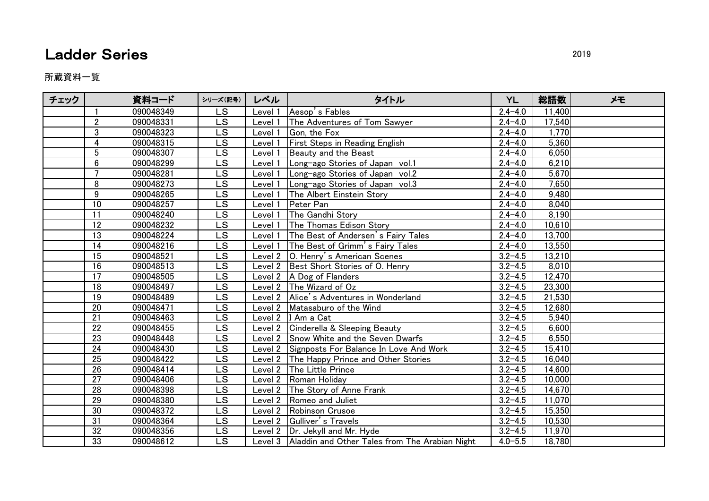## **Ladder Series** 2019

所蔵資料一覧

| チェック |                 | 資料コード     | シリーズ(記号)                 | レベル     | タイトル                                                   | <b>YL</b>   | 総語数    | メモ |
|------|-----------------|-----------|--------------------------|---------|--------------------------------------------------------|-------------|--------|----|
|      |                 | 090048349 | <b>LS</b>                | Level 1 | Aesop's Fables                                         | $2.4 - 4.0$ | 11,400 |    |
|      | $\overline{2}$  | 090048331 | <b>LS</b>                | Level 1 | The Adventures of Tom Sawyer                           | $2.4 - 4.0$ | 17,540 |    |
|      | 3               | 090048323 | <b>LS</b>                | Level 1 | Gon, the Fox                                           | $2.4 - 4.0$ | 1,770  |    |
|      | 4               | 090048315 | <b>LS</b>                | Level 1 | First Steps in Reading English                         | $2.4 - 4.0$ | 5,360  |    |
|      | 5               | 090048307 | $\overline{\text{LS}}$   | Level 1 | Beauty and the Beast                                   | $2.4 - 4.0$ | 6,050  |    |
|      | $6\phantom{.}$  | 090048299 | LS                       | Level 1 | Long-ago Stories of Japan vol.1                        | $2.4 - 4.0$ | 6,210  |    |
|      | $\overline{7}$  | 090048281 | <b>LS</b>                | Level 1 | Long-ago Stories of Japan vol.2                        | $2.4 - 4.0$ | 5,670  |    |
|      | 8               | 090048273 | $\overline{\mathsf{LS}}$ | Level 1 | Long-ago Stories of Japan vol.3                        | $2.4 - 4.0$ | 7,650  |    |
|      | 9               | 090048265 | LS                       | Level 1 | The Albert Einstein Story                              | $2.4 - 4.0$ | 9,480  |    |
|      | 10              | 090048257 | LS                       | Level 1 | Peter Pan                                              | $2.4 - 4.0$ | 8,040  |    |
|      | $\overline{11}$ | 090048240 | $\overline{\textsf{LS}}$ | Level 1 | The Gandhi Story                                       | $2.4 - 4.0$ | 8,190  |    |
|      | 12              | 090048232 | LS                       | Level 1 | The Thomas Edison Story                                | $2.4 - 4.0$ | 10,610 |    |
|      | 13              | 090048224 | <b>LS</b>                | Level 1 | The Best of Andersen's Fairy Tales                     | $2.4 - 4.0$ | 13,700 |    |
|      | 14              | 090048216 | $\overline{\mathsf{LS}}$ | Level 1 | The Best of Grimm's Fairy Tales                        | $2.4 - 4.0$ | 13,550 |    |
|      | 15              | 090048521 | <b>LS</b>                |         | Level 2   O. Henry's American Scenes                   | $3.2 - 4.5$ | 13,210 |    |
|      | 16              | 090048513 | <b>LS</b>                |         | Level 2 Best Short Stories of O. Henry                 | $3.2 - 4.5$ | 8,010  |    |
|      | 17              | 090048505 | $\overline{\text{LS}}$   |         | Level 2   A Dog of Flanders                            | $3.2 - 4.5$ | 12,470 |    |
|      | 18              | 090048497 | LS                       |         | Level 2 The Wizard of Oz                               | $3.2 - 4.5$ | 23,300 |    |
|      | 19              | 090048489 | <b>LS</b>                |         | Level 2 Alice's Adventures in Wonderland               | $3.2 - 4.5$ | 21,530 |    |
|      | 20              | 090048471 | $\overline{\mathsf{LS}}$ |         | Level 2 Matasaburo of the Wind                         | $3.2 - 4.5$ | 12,680 |    |
|      | 21              | 090048463 | LS                       |         | Level 2   I Am a Cat                                   | $3.2 - 4.5$ | 5,940  |    |
|      | 22              | 090048455 | <b>LS</b>                |         | Level 2 Cinderella & Sleeping Beauty                   | $3.2 - 4.5$ | 6,600  |    |
|      | 23              | 090048448 | $\overline{\mathsf{LS}}$ |         | Level 2 Snow White and the Seven Dwarfs                | $3.2 - 4.5$ | 6,550  |    |
|      | 24              | 090048430 | LS                       |         | Level 2 Signposts For Balance In Love And Work         | $3.2 - 4.5$ | 15,410 |    |
|      | 25              | 090048422 | <b>LS</b>                |         | Level 2 The Happy Prince and Other Stories             | $3.2 - 4.5$ | 16,040 |    |
|      | $\overline{26}$ | 090048414 | $\overline{\mathsf{LS}}$ |         | Level 2 The Little Prince                              | $3.2 - 4.5$ | 14,600 |    |
|      | 27              | 090048406 | <b>LS</b>                |         | Level 2 Roman Holiday                                  | $3.2 - 4.5$ | 10,000 |    |
|      | 28              | 090048398 | <b>LS</b>                |         | Level 2 The Story of Anne Frank                        | $3.2 - 4.5$ | 14,670 |    |
|      | $\overline{29}$ | 090048380 | $\overline{\mathsf{LS}}$ |         | Level 2 Romeo and Juliet                               | $3.2 - 4.5$ | 11,070 |    |
|      | 30              | 090048372 | LS                       |         | Level 2 Robinson Crusoe                                | $3.2 - 4.5$ | 15,350 |    |
|      | 31              | 090048364 | LS                       |         | Level 2 Gulliver's Travels                             | $3.2 - 4.5$ | 10,530 |    |
|      | 32              | 090048356 | <b>LS</b>                |         | Level 2   Dr. Jekyll and Mr. Hyde                      | $3.2 - 4.5$ | 11,970 |    |
|      | 33              | 090048612 | <b>LS</b>                |         | Level 3 Aladdin and Other Tales from The Arabian Night | $4.0 - 5.5$ | 18,780 |    |